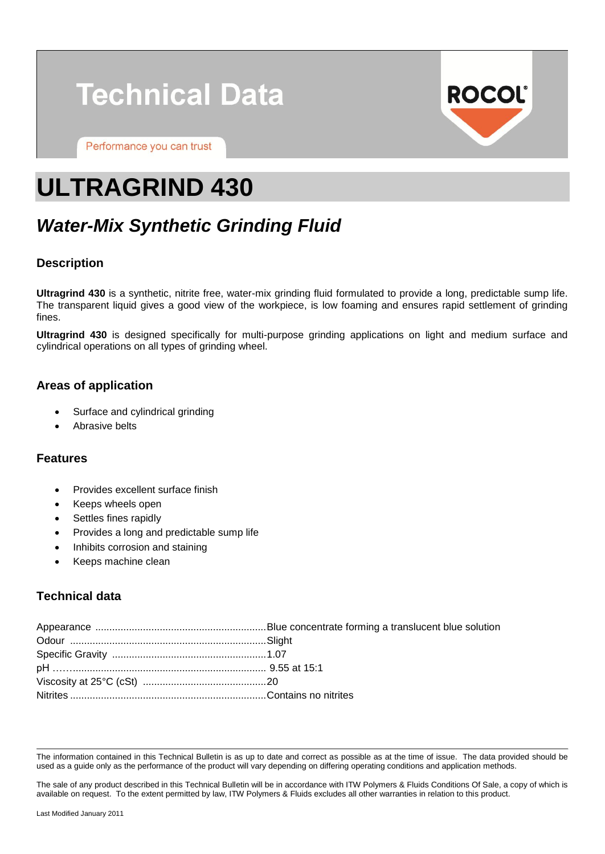# **Technical Data**

Performance you can trust



## **ULTRAGRIND 430**

### *Water-Mix Synthetic Grinding Fluid*

#### **Description**

**Ultragrind 430** is a synthetic, nitrite free, water-mix grinding fluid formulated to provide a long, predictable sump life. The transparent liquid gives a good view of the workpiece, is low foaming and ensures rapid settlement of grinding fines.

**Ultragrind 430** is designed specifically for multi-purpose grinding applications on light and medium surface and cylindrical operations on all types of grinding wheel.

#### **Areas of application**

- Surface and cylindrical grinding
- Abrasive belts

#### **Features**

- Provides excellent surface finish
- Keeps wheels open
- Settles fines rapidly
- Provides a long and predictable sump life
- Inhibits corrosion and staining
- Keeps machine clean

#### **Technical data**

The information contained in this Technical Bulletin is as up to date and correct as possible as at the time of issue. The data provided should be used as a guide only as the performance of the product will vary depending on differing operating conditions and application methods.

The sale of any product described in this Technical Bulletin will be in accordance with ITW Polymers & Fluids Conditions Of Sale, a copy of which is available on request. To the extent permitted by law, ITW Polymers & Fluids excludes all other warranties in relation to this product.